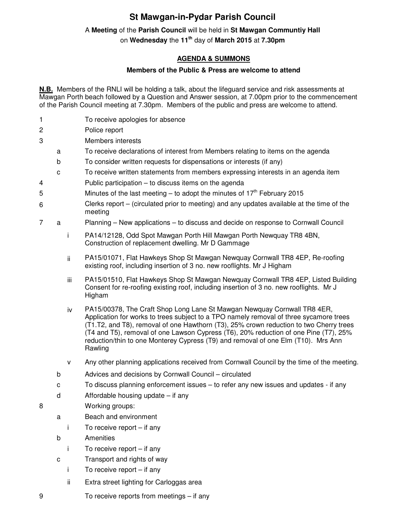## **St Mawgan-in-Pydar Parish Council**

## A **Meeting** of the **Parish Council** will be held in **St Mawgan Communtiy Hall**

on **Wednesday** the **11th** day of **March 2015** at **7.30pm** 

## **AGENDA & SUMMONS**

## **Members of the Public & Press are welcome to attend**

**N.B.** Members of the RNLI will be holding a talk, about the lifeguard service and risk assessments at Mawgan Porth beach followed by a Question and Answer session, at 7.00pm prior to the commencement of the Parish Council meeting at 7.30pm. Members of the public and press are welcome to attend.

- 1 To receive apologies for absence
- 2 Police report
- 3 Members interests
	- a To receive declarations of interest from Members relating to items on the agenda
	- b To consider written requests for dispensations or interests (if any)
	- c To receive written statements from members expressing interests in an agenda item
- 4 Public participation to discuss items on the agenda
- 5 Minutes of the last meeting to adopt the minutes of  $17<sup>th</sup>$  February 2015
- 6 Clerks report – (circulated prior to meeting) and any updates available at the time of the meeting
- 7 a Planning New applications to discuss and decide on response to Cornwall Council
	- i PA14/12128, Odd Spot Mawgan Porth Hill Mawgan Porth Newquay TR8 4BN, Construction of replacement dwelling. Mr D Gammage
	- ii PA15/01071, Flat Hawkeys Shop St Mawgan Newquay Cornwall TR8 4EP, Re-roofing existing roof, including insertion of 3 no. new rooflights. Mr J Higham
	- iii PA15/01510, Flat Hawkeys Shop St Mawgan Newquay Cornwall TR8 4EP, Listed Building Consent for re-roofing existing roof, including insertion of 3 no. new rooflights. Mr J Higham
	- iv PA15/00378, The Craft Shop Long Lane St Mawgan Newquay Cornwall TR8 4ER, Application for works to trees subject to a TPO namely removal of three sycamore trees (T1.T2, and T8), removal of one Hawthorn (T3), 25% crown reduction to two Cherry trees (T4 and T5), removal of one Lawson Cypress (T6), 20% reduction of one Pine (T7), 25% reduction/thin to one Monterey Cypress (T9) and removal of one Elm (T10). Mrs Ann Rawling
	- v Any other planning applications received from Cornwall Council by the time of the meeting.
	- b Advices and decisions by Cornwall Council circulated
	- c To discuss planning enforcement issues to refer any new issues and updates if any
	- d Affordable housing update if any
- 8 Working groups:
	- a Beach and environment
		- i To receive report if any
	- b Amenities
		- i To receive report if any
	- c Transport and rights of way
		- i To receive report if any
		- ii Extra street lighting for Carloggas area
- 9 To receive reports from meetings if any